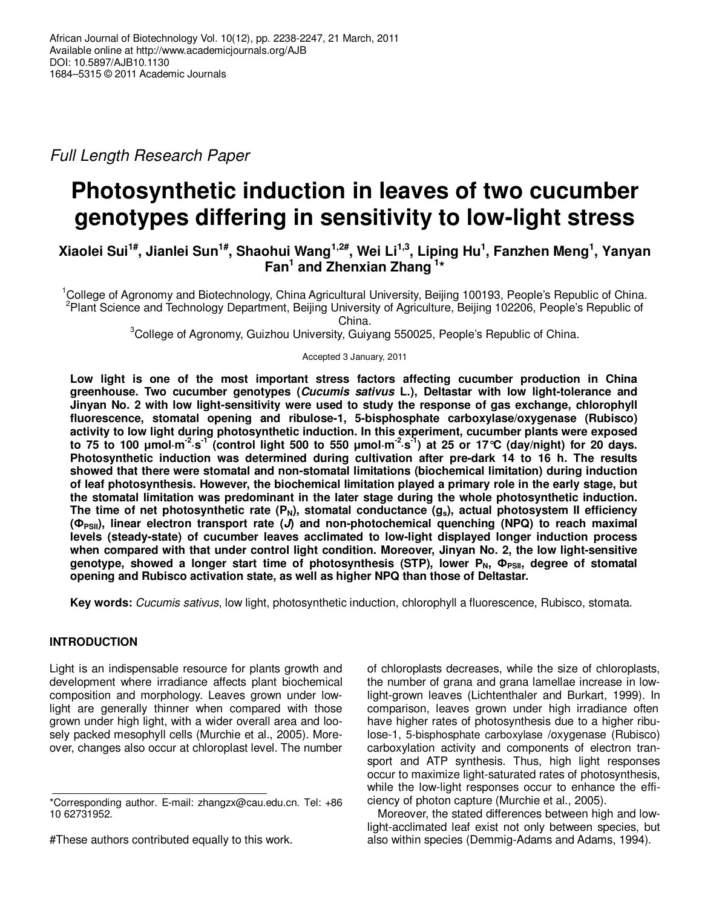Full Length Research Paper

# **Photosynthetic induction in leaves of two cucumber genotypes differing in sensitivity to low-light stress**

## **Xiaolei Sui1#, Jianlei Sun1#, Shaohui Wang1,2#, Wei Li1,3, Liping Hu<sup>1</sup> , Fanzhen Meng<sup>1</sup> , Yanyan Fan<sup>1</sup> and Zhenxian Zhang<sup>1</sup>\***

<sup>1</sup>College of Agronomy and Biotechnology, China Agricultural University, Beijing 100193, People's Republic of China. <sup>2</sup>Plant Science and Technology Department, Beijing University of Agriculture, Beijing 102206, People's Republic of

China.

<sup>3</sup>College of Agronomy, Guizhou University, Guiyang 550025, People's Republic of China.

Accepted 3 January, 2011

**Low light is one of the most important stress factors affecting cucumber production in China greenhouse. Two cucumber genotypes (Cucumis sativus L.), Deltastar with low light-tolerance and Jinyan No. 2 with low light-sensitivity were used to study the response of gas exchange, chlorophyll fluorescence, stomatal opening and ribulose-1, 5-bisphosphate carboxylase/oxygenase (Rubisco) activity to low light during photosynthetic induction. In this experiment, cucumber plants were exposed to 75 to 100 µmol·m-2·s-1 (control light 500 to 550 µmol·m-2·s-1) at 25 or 17°C (day/night) for 20 days. Photosynthetic induction was determined during cultivation after pre-dark 14 to 16 h. The results showed that there were stomatal and non-stomatal limitations (biochemical limitation) during induction of leaf photosynthesis. However, the biochemical limitation played a primary role in the early stage, but the stomatal limitation was predominant in the later stage during the whole photosynthetic induction.**  The time of net photosynthetic rate  $(P_N)$ , stomatal conductance  $(g_s)$ , actual photosystem II efficiency **(ФPSII), linear electron transport rate (J) and non-photochemical quenching (NPQ) to reach maximal levels (steady-state) of cucumber leaves acclimated to low-light displayed longer induction process when compared with that under control light condition. Moreover, Jinyan No. 2, the low light-sensitive genotype, showed a longer start time of photosynthesis (STP), lower PN, ФPSII, degree of stomatal opening and Rubisco activation state, as well as higher NPQ than those of Deltastar.** 

**Key words:** Cucumis sativus, low light, photosynthetic induction, chlorophyll a fluorescence, Rubisco, stomata.

## **INTRODUCTION**

Light is an indispensable resource for plants growth and development where irradiance affects plant biochemical composition and morphology. Leaves grown under lowlight are generally thinner when compared with those grown under high light, with a wider overall area and loosely packed mesophyll cells (Murchie et al., 2005). Moreover, changes also occur at chloroplast level. The number

of chloroplasts decreases, while the size of chloroplasts, the number of grana and grana lamellae increase in lowlight-grown leaves (Lichtenthaler and Burkart, 1999). In comparison, leaves grown under high irradiance often have higher rates of photosynthesis due to a higher ribulose-1, 5-bisphosphate carboxylase /oxygenase (Rubisco) carboxylation activity and components of electron transport and ATP synthesis. Thus, high light responses occur to maximize light-saturated rates of photosynthesis, while the low-light responses occur to enhance the efficiency of photon capture (Murchie et al., 2005).

Moreover, the stated differences between high and lowlight-acclimated leaf exist not only between species, but also within species (Demmig-Adams and Adams, 1994).

<sup>\*</sup>Corresponding author. E-mail: zhangzx@cau.edu.cn. Tel: +86 10 62731952.

<sup>#</sup>These authors contributed equally to this work.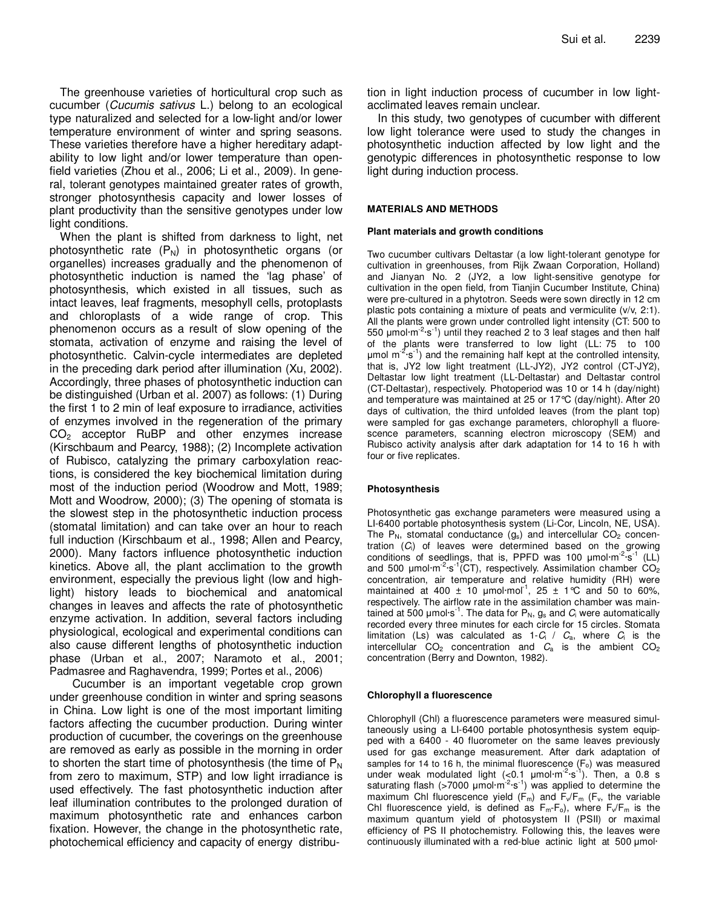The greenhouse varieties of horticultural crop such as cucumber (Cucumis sativus L.) belong to an ecological type naturalized and selected for a low-light and/or lower temperature environment of winter and spring seasons. These varieties therefore have a higher hereditary adaptability to low light and/or lower temperature than openfield varieties (Zhou et al., 2006; Li et al., 2009). In general, tolerant genotypes maintained greater rates of growth, stronger photosynthesis capacity and lower losses of plant productivity than the sensitive genotypes under low light conditions.

When the plant is shifted from darkness to light, net photosynthetic rate  $(P_N)$  in photosynthetic organs (or organelles) increases gradually and the phenomenon of photosynthetic induction is named the 'lag phase' of photosynthesis, which existed in all tissues, such as intact leaves, leaf fragments, mesophyll cells, protoplasts and chloroplasts of a wide range of crop. This phenomenon occurs as a result of slow opening of the stomata, activation of enzyme and raising the level of photosynthetic. Calvin-cycle intermediates are depleted in the preceding dark period after illumination (Xu, 2002). Accordingly, three phases of photosynthetic induction can be distinguished (Urban et al. 2007) as follows: (1) During the first 1 to 2 min of leaf exposure to irradiance, activities of enzymes involved in the regeneration of the primary CO<sub>2</sub> acceptor RuBP and other enzymes increase (Kirschbaum and Pearcy, 1988); (2) Incomplete activation of Rubisco, catalyzing the primary carboxylation reactions, is considered the key biochemical limitation during most of the induction period (Woodrow and Mott, 1989; Mott and Woodrow, 2000); (3) The opening of stomata is the slowest step in the photosynthetic induction process (stomatal limitation) and can take over an hour to reach full induction (Kirschbaum et al., 1998; Allen and Pearcy, 2000). Many factors influence photosynthetic induction kinetics. Above all, the plant acclimation to the growth environment, especially the previous light (low and highlight) history leads to biochemical and anatomical changes in leaves and affects the rate of photosynthetic enzyme activation. In addition, several factors including physiological, ecological and experimental conditions can also cause different lengths of photosynthetic induction phase (Urban et al., 2007; Naramoto et al., 2001; Padmasree and Raghavendra, 1999; Portes et al., 2006)

Cucumber is an important vegetable crop grown under greenhouse condition in winter and spring seasons in China. Low light is one of the most important limiting factors affecting the cucumber production. During winter production of cucumber, the coverings on the greenhouse are removed as early as possible in the morning in order to shorten the start time of photosynthesis (the time of  $P_N$ ) from zero to maximum, STP) and low light irradiance is used effectively. The fast photosynthetic induction after leaf illumination contributes to the prolonged duration of maximum photosynthetic rate and enhances carbon fixation. However, the change in the photosynthetic rate, photochemical efficiency and capacity of energy distribution in light induction process of cucumber in low lightacclimated leaves remain unclear.

In this study, two genotypes of cucumber with different low light tolerance were used to study the changes in photosynthetic induction affected by low light and the genotypic differences in photosynthetic response to low light during induction process.

### **MATERIALS AND METHODS**

#### **Plant materials and growth conditions**

Two cucumber cultivars Deltastar (a low light-tolerant genotype for cultivation in greenhouses, from Rijk Zwaan Corporation, Holland) and Jianyan No. 2 (JY2, a low light-sensitive genotype for cultivation in the open field, from Tianjin Cucumber Institute, China) were pre-cultured in a phytotron. Seeds were sown directly in 12 cm plastic pots containing a mixture of peats and vermiculite (v/v, 2:1). All the plants were grown under controlled light intensity (CT: 500 to 550  $\mu$ mol·m<sup>-2</sup>·s<sup>-1</sup>) until they reached 2 to 3 leaf stages and then half of the plants were transferred to low light (LL: 75 to 100 umol  $m<sup>2</sup>·s<sup>-1</sup>$ ) and the remaining half kept at the controlled intensity, that is, JY2 low light treatment (LL-JY2), JY2 control (CT-JY2), Deltastar low light treatment (LL-Deltastar) and Deltastar control (CT-Deltastar), respectively. Photoperiod was 10 or 14 h (day/night) and temperature was maintained at 25 or 17°C (day/night). After 20 days of cultivation, the third unfolded leaves (from the plant top) were sampled for gas exchange parameters, chlorophyll a fluorescence parameters, scanning electron microscopy (SEM) and Rubisco activity analysis after dark adaptation for 14 to 16 h with four or five replicates.

## **Photosynthesis**

Photosynthetic gas exchange parameters were measured using a LI-6400 portable photosynthesis system (Li-Cor, Lincoln, NE, USA). The  $P_N$ , stomatal conductance  $(g_s)$  and intercellular  $CO_2$  concentration  $(C_i)$  of leaves were determined based on the growing conditions of seedlings, that is, PPFD was 100  $\mu$ mol·m<sup>-2</sup>·s<sup>-1</sup> (LL) and 500  $\mu$ mol·m<sup>-2</sup>·s<sup>-1</sup>(CT), respectively. Assimilation chamber CO<sub>2</sub> concentration, air temperature and relative humidity (RH) were maintained at 400  $\pm$  10 µmol·mol<sup>-1</sup>, 25  $\pm$  1°C and 50 to 60%, respectively. The airflow rate in the assimilation chamber was maintained at 500 µmol $\cdot$ s<sup>-1</sup>. The data for P<sub>N</sub>,  $q_s$  and  $C_i$  were automatically recorded every three minutes for each circle for 15 circles. Stomata limitation (Ls) was calculated as 1- $C_i$  /  $C_a$ , where  $C_i$  is the intercellular  $CO<sub>2</sub>$  concentration and  $C<sub>a</sub>$  is the ambient  $CO<sub>2</sub>$ concentration (Berry and Downton, 1982).

#### **Chlorophyll a fluorescence**

Chlorophyll (Chl) a fluorescence parameters were measured simultaneously using a LI-6400 portable photosynthesis system equipped with a 6400 - 40 fluorometer on the same leaves previously used for gas exchange measurement. After dark adaptation of samples for 14 to 16 h, the minimal fluorescence  $(F<sub>o</sub>)$  was measured under weak modulated light  $(\leq 0.1 \text{ \mu mol} \cdot \text{m}^{-2} \cdot \text{s}^{-1})$ . Then, a 0.8 s saturating flash (>7000  $\mu$ mol·m<sup>-2</sup>·s<sup>-1</sup>) was applied to determine the maximum Chl fluorescence yield  $(F_m)$  and  $F_v/F_m$  ( $F_v$ , the variable Chl fluorescence yield, is defined as  $F_m-F_o$ ), where  $F_v/F_m$  is the maximum quantum yield of photosystem II (PSII) or maximal efficiency of PS II photochemistry. Following this, the leaves were continuously illuminated with a red-blue actinic light at 500 µmol·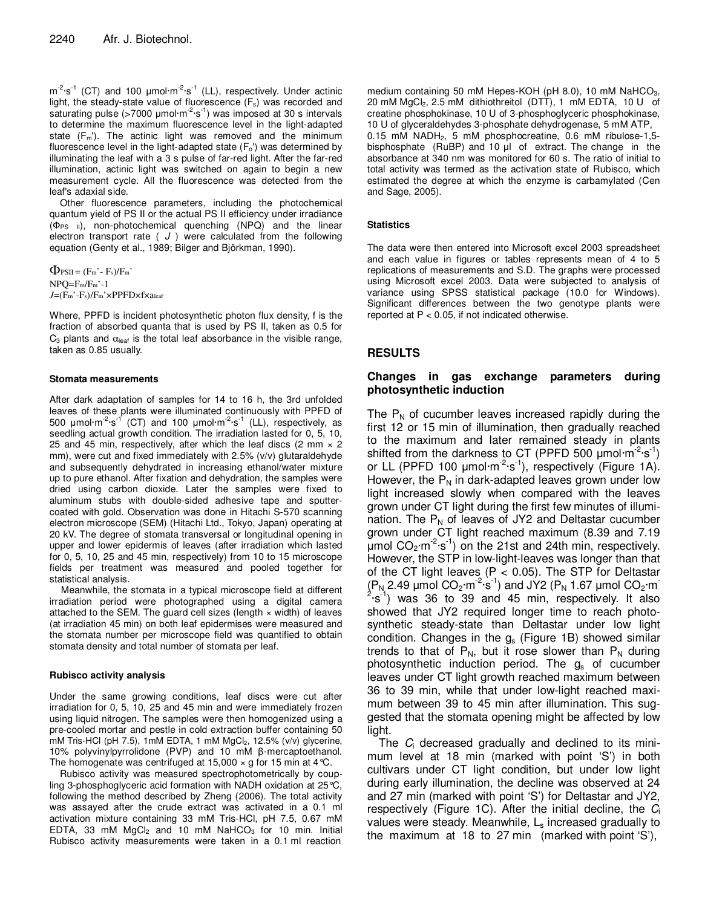$m^{-2} \cdot s^{-1}$  (CT) and 100  $\mu$ mol $m^{-2} \cdot s^{-1}$  (LL), respectively. Under actinic light, the steady-state value of fluorescence  $(F_s)$  was recorded and saturating pulse (>7000 µmol·m<sup>-2</sup>·s<sup>-1</sup>) was imposed at 30 s intervals to determine the maximum fluorescence level in the light-adapted state  $(F_m)$ . The actinic light was removed and the minimum fluorescence level in the light-adapted state  $(F_0)$  was determined by illuminating the leaf with a 3 s pulse of far-red light. After the far-red illumination, actinic light was switched on again to begin a new measurement cycle. All the fluorescence was detected from the leaf's adaxial side.

Other fluorescence parameters, including the photochemical quantum yield of PS II or the actual PS II efficiency under irradiance  $(\Phi_{PS}$  <sub>II</sub>), non-photochemical quenching (NPQ) and the linear electron transport rate ( $J$ ) were calculated from the following equation (Genty et al., 1989; Bilger and Björkman, 1990).

 $\Phi_{PSII} = (F_m - F_s)/F_m'$ NPQ=Fm/Fm'-1 *J*=(Fm'-Fs)/Fm'×PPFD×f×aleaf

Where, PPFD is incident photosynthetic photon flux density, f is the fraction of absorbed quanta that is used by PS II, taken as 0.5 for  $C_3$  plants and  $\alpha_{\text{leaf}}$  is the total leaf absorbance in the visible range, taken as 0.85 usually.

#### **Stomata measurements**

After dark adaptation of samples for 14 to 16 h, the 3rd unfolded leaves of these plants were illuminated continuously with PPFD of 500  $\mu$ mol·m<sup>-2</sup>·s<sup>-1</sup> (CT) and 100  $\mu$ mol·m<sup>-2</sup>·s<sup>-1</sup> (LL), respectively, as seedling actual growth condition. The irradiation lasted for 0, 5, 10, 25 and 45 min, respectively, after which the leaf discs (2 mm  $\times$  2 mm), were cut and fixed immediately with 2.5% (v/v) glutaraldehyde and subsequently dehydrated in increasing ethanol/water mixture up to pure ethanol. After fixation and dehydration, the samples were dried using carbon dioxide. Later the samples were fixed to aluminum stubs with double-sided adhesive tape and sputtercoated with gold. Observation was done in Hitachi S-570 scanning electron microscope (SEM) (Hitachi Ltd., Tokyo, Japan) operating at 20 kV. The degree of stomata transversal or longitudinal opening in upper and lower epidermis of leaves (after irradiation which lasted for 0, 5, 10, 25 and 45 min, respectively) from 10 to 15 microscope fields per treatment was measured and pooled together for statistical analysis.

Meanwhile, the stomata in a typical microscope field at different irradiation period were photographed using a digital camera attached to the SEM. The guard cell sizes (length  $\times$  width) of leaves (at irradiation 45 min) on both leaf epidermises were measured and the stomata number per microscope field was quantified to obtain stomata density and total number of stomata per leaf.

## **Rubisco activity analysis**

Under the same growing conditions, leaf discs were cut after irradiation for 0, 5, 10, 25 and 45 min and were immediately frozen using liquid nitrogen. The samples were then homogenized using a pre-cooled mortar and pestle in cold extraction buffer containing 50 mM Tris-HCl (pH 7.5), 1mM EDTA, 1 mM MgCl<sub>2</sub>, 12.5% (v/v) glycerine, 10% polyvinylpyrrolidone (PVP) and 10 mM β-mercaptoethanol. The homogenate was centrifuged at 15,000  $\times$  g for 15 min at 4 °C.

Rubisco activity was measured spectrophotometrically by coupling 3-phosphoglyceric acid formation with NADH oxidation at 25°C, following the method described by Zheng (2006). The total activity was assayed after the crude extract was activated in a 0.1 ml activation mixture containing 33 mM Tris-HCl, pH 7.5, 0.67 mM EDTA, 33 mM  $MgCl<sub>2</sub>$  and 10 mM NaHCO<sub>3</sub> for 10 min. Initial Rubisco activity measurements were taken in a 0.1 ml reaction

medium containing 50 mM Hepes-KOH ( $pH$  8.0), 10 mM NaHCO<sub>3</sub>, 20 mM MgCl2, 2.5 mM dithiothreitol (DTT), 1 mM EDTA, 10 U of creatine phosphokinase, 10 U of 3-phosphoglyceric phosphokinase, 10 U of glyceraldehydes 3-phosphate dehydrogenase, 5 mM ATP, 0.15 mM NADH<sub>2</sub>, 5 mM phosphocreatine, 0.6 mM ribulose-1,5bisphosphate (RuBP) and 10 µl of extract. The change in the absorbance at 340 nm was monitored for 60 s. The ratio of initial to total activity was termed as the activation state of Rubisco, which estimated the degree at which the enzyme is carbamylated (Cen and Sage, 2005).

## **Statistics**

The data were then entered into Microsoft excel 2003 spreadsheet and each value in figures or tables represents mean of 4 to 5 replications of measurements and S.D. The graphs were processed using Microsoft excel 2003. Data were subjected to analysis of variance using SPSS statistical package (10.0 for Windows). Significant differences between the two genotype plants were reported at  $P < 0.05$ , if not indicated otherwise.

## **RESULTS**

## **Changes in gas exchange parameters during photosynthetic induction**

The  $P_N$  of cucumber leaves increased rapidly during the first 12 or 15 min of illumination, then gradually reached to the maximum and later remained steady in plants shifted from the darkness to CT (PPFD 500  $\mu$ mol·m<sup>-2</sup>·s<sup>-1</sup>) or LL (PPFD 100  $\mu$ mol·m<sup>-2</sup>·s<sup>-1</sup>), respectively (Figure 1A). However, the  $P_N$  in dark-adapted leaves grown under low light increased slowly when compared with the leaves grown under CT light during the first few minutes of illumination. The  $P_N$  of leaves of JY2 and Deltastar cucumber grown under CT light reached maximum (8.39 and 7.19  $\mu$ mol CO<sub>2</sub>·m<sup>-2</sup>·s<sup>-1</sup>) on the 21st and 24th min, respectively. However, the STP in low-light-leaves was longer than that of the CT light leaves ( $P < 0.05$ ). The STP for Deltastar  $(P_N 2.49 \mu m$ ol CO<sub>2</sub>·m<sup>-2</sup>·s<sup>-1</sup>) and JY2 ( $P_N 1.67 \mu m$ ol CO<sub>2</sub>·m<sup>-2</sup>·s<sup>-1</sup>) was 36 to 39 and 45 min, respectively. It also showed that JY2 required longer time to reach photosynthetic steady-state than Deltastar under low light condition. Changes in the  $g_s$  (Figure 1B) showed similar trends to that of  $P_N$ , but it rose slower than  $P_N$  during photosynthetic induction period. The  $g_s$  of cucumber leaves under CT light growth reached maximum between 36 to 39 min, while that under low-light reached maximum between 39 to 45 min after illumination. This suggested that the stomata opening might be affected by low light.

The  $C_i$  decreased gradually and declined to its minimum level at 18 min (marked with point 'S') in both cultivars under CT light condition, but under low light during early illumination, the decline was observed at 24 and 27 min (marked with point 'S') for Deltastar and JY2, respectively (Figure 1C). After the initial decline, the  $C_i$ values were steady. Meanwhile,  $L<sub>s</sub>$  increased gradually to the maximum at 18 to 27 min (marked with point 'S'),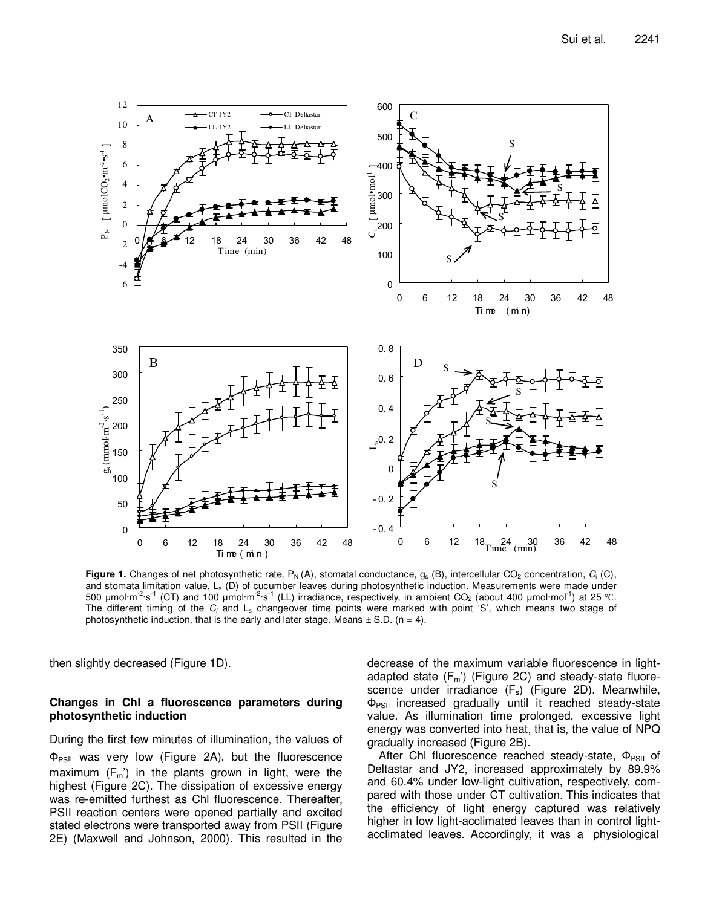

**Figure 1.** Changes of net photosynthetic rate,  $P_N(A)$ , stomatal conductance,  $g_s(B)$ , intercellular CO<sub>2</sub> concentration,  $C_i(C)$ , and stomata limitation value,  $L_s$  (D) of cucumber leaves during photosynthetic induction. Measurements were made under 500 µmol·m<sup>-2</sup>·s<sup>-1</sup> (CT) and 100 µmol·m<sup>-2</sup>·s<sup>-1</sup> (LL) irradiance, respectively, in ambient CO<sub>2</sub> (about 400 µmol·mol<sup>-1</sup>) at 25 °C. The different timing of the  $C_i$  and  $L_s$  changeover time points were marked with point 'S', which means two stage of photosynthetic induction, that is the early and later stage. Means  $\pm$  S.D. (n = 4).

then slightly decreased (Figure 1D).

## **Changes in Chl a fluorescence parameters during photosynthetic induction**

During the first few minutes of illumination, the values of  $\Phi_{PSII}$  was very low (Figure 2A), but the fluorescence maximum  $(F_m)$  in the plants grown in light, were the highest (Figure 2C). The dissipation of excessive energy was re-emitted furthest as Chl fluorescence. Thereafter, PSII reaction centers were opened partially and excited stated electrons were transported away from PSII (Figure 2E) (Maxwell and Johnson, 2000). This resulted in the

decrease of the maximum variable fluorescence in lightadapted state  $(F_m)'$  (Figure 2C) and steady-state fluorescence under irradiance  $(F_s)$  (Figure 2D). Meanwhile,  $\Phi_{PSII}$  increased gradually until it reached steady-state value. As illumination time prolonged, excessive light energy was converted into heat, that is, the value of NPQ gradually increased (Figure 2B).

After Chl fluorescence reached steady-state,  $\Phi_{PSII}$  of Deltastar and JY2, increased approximately by 89.9% and 60.4% under low-light cultivation, respectively, compared with those under CT cultivation. This indicates that the efficiency of light energy captured was relatively higher in low light-acclimated leaves than in control lightacclimated leaves. Accordingly, it was a physiological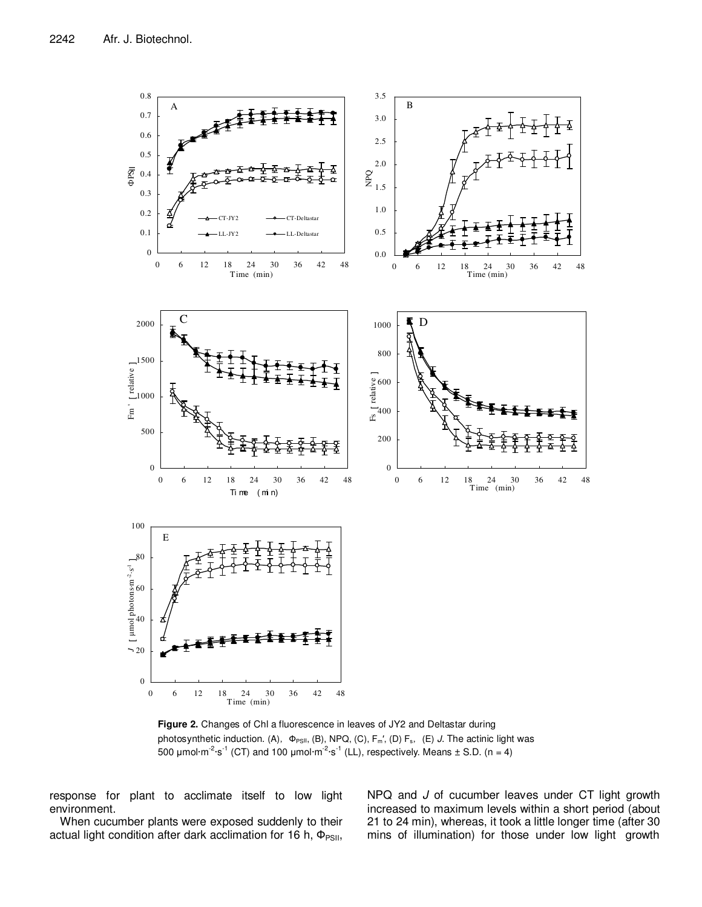

**Figure 2.** Changes of Chl a fluorescence in leaves of JY2 and Deltastar during photosynthetic induction. (A),  $\Phi_{PSII}$ , (B), NPQ, (C), F<sub>m</sub>', (D) F<sub>s</sub>, (E) J. The actinic light was 500  $\mu$ mol·m<sup>-2</sup>·s<sup>-1</sup> (CT) and 100  $\mu$ mol·m<sup>-2</sup>·s<sup>-1</sup> (LL), respectively. Means  $\pm$  S.D. (n = 4)

response for plant to acclimate itself to low light environment.

When cucumber plants were exposed suddenly to their actual light condition after dark acclimation for 16 h,  $\Phi_{PSII}$ , NPQ and J of cucumber leaves under CT light growth increased to maximum levels within a short period (about 21 to 24 min), whereas, it took a little longer time (after 30 mins of illumination) for those under low light growth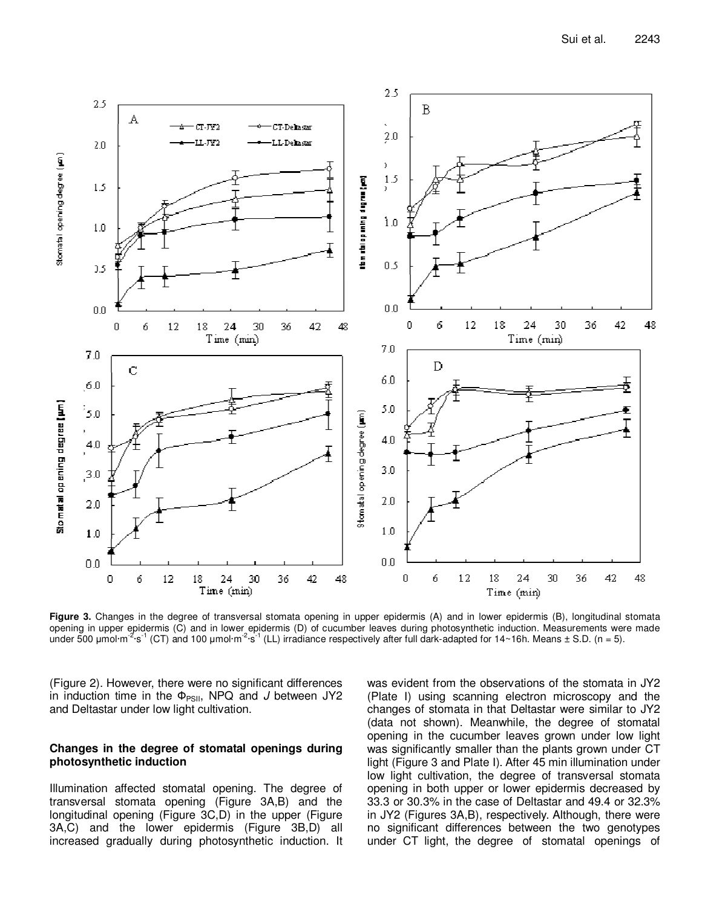

**Figure 3.** Changes in the degree of transversal stomata opening in upper epidermis (A) and in lower epidermis (B), longitudinal stomata opening in upper epidermis (C) and in lower epidermis (D) of cucumber leaves during photosynthetic induction. Measurements were made under 500  $\mu$ mol·m<sup>-2</sup>·s<sup>-1</sup> (CT) and 100  $\mu$ mol·m<sup>-2</sup>·s<sup>-1</sup> (LL) irradiance respectively after full dark-adapted for 14~16h. Means ± S.D. (n = 5).

(Figure 2). However, there were no significant differences in induction time in the  $\Phi_{PSII}$ , NPQ and J between JY2 and Deltastar under low light cultivation.

## **Changes in the degree of stomatal openings during photosynthetic induction**

Illumination affected stomatal opening. The degree of transversal stomata opening (Figure 3A,B) and the longitudinal opening (Figure 3C,D) in the upper (Figure 3A,C) and the lower epidermis (Figure 3B,D) all increased gradually during photosynthetic induction. It

was evident from the observations of the stomata in JY2 (Plate І) using scanning electron microscopy and the changes of stomata in that Deltastar were similar to JY2 (data not shown). Meanwhile, the degree of stomatal opening in the cucumber leaves grown under low light was significantly smaller than the plants grown under CT light (Figure 3 and Plate І). After 45 min illumination under low light cultivation, the degree of transversal stomata opening in both upper or lower epidermis decreased by 33.3 or 30.3% in the case of Deltastar and 49.4 or 32.3% in JY2 (Figures 3A,B), respectively. Although, there were no significant differences between the two genotypes under CT light, the degree of stomatal openings of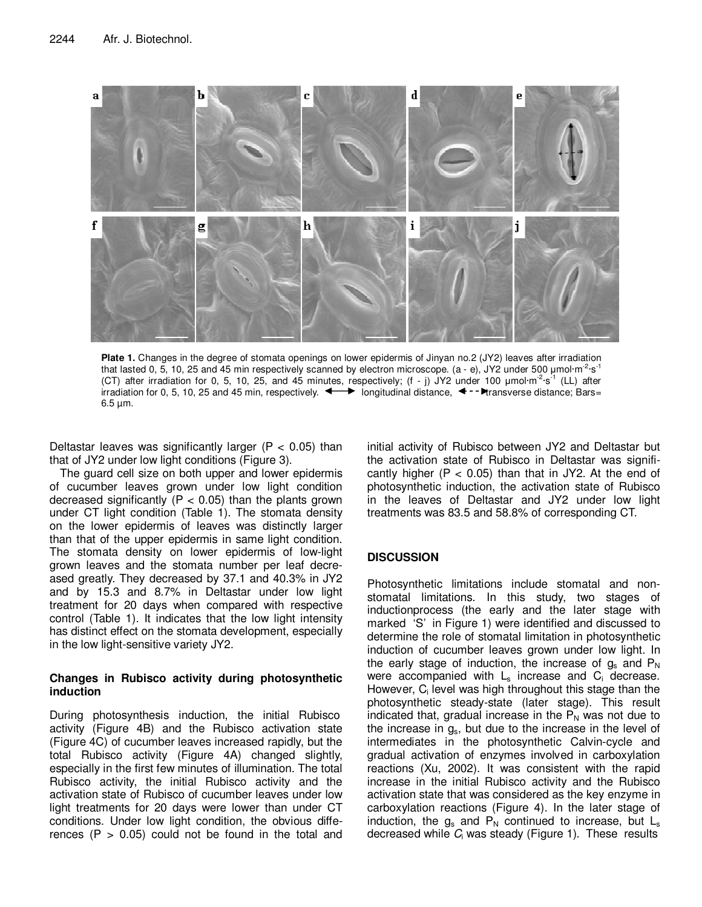

Plate 1. Changes in the degree of stomata openings on lower epidermis of Jinyan no.2 (JY2) leaves after irradiation that lasted 0, 5, 10, 25 and 45 min respectively scanned by electron microscope. (a - e), JY2 under 500 µmol·m<sup>-2</sup>·s<sup>-1</sup> (CT) after irradiation for 0, 5, 10, 25, and 45 minutes, respectively; (f - j) JY2 under 100  $\mu$ mol·m<sup>-2</sup>·s<sup>-1</sup> (LL) after irradiation for 0, 5, 10, 25 and 45 min, respectively.  $\leftrightarrow$  longitudinal distance,  $\leftrightarrow$  - Pransverse distance; Bars=  $6.5 \,\mu m$ .

Deltastar leaves was significantly larger ( $P < 0.05$ ) than that of JY2 under low light conditions (Figure 3).

The guard cell size on both upper and lower epidermis of cucumber leaves grown under low light condition decreased significantly ( $P < 0.05$ ) than the plants grown under CT light condition (Table 1). The stomata density on the lower epidermis of leaves was distinctly larger than that of the upper epidermis in same light condition. The stomata density on lower epidermis of low-light grown leaves and the stomata number per leaf decreased greatly. They decreased by 37.1 and 40.3% in JY2 and by 15.3 and 8.7% in Deltastar under low light treatment for 20 days when compared with respective control (Table 1). It indicates that the low light intensity has distinct effect on the stomata development, especially in the low light-sensitive variety JY2.

## **Changes in Rubisco activity during photosynthetic induction**

During photosynthesis induction, the initial Rubisco activity (Figure 4B) and the Rubisco activation state (Figure 4C) of cucumber leaves increased rapidly, but the total Rubisco activity (Figure 4A) changed slightly, especially in the first few minutes of illumination. The total Rubisco activity, the initial Rubisco activity and the activation state of Rubisco of cucumber leaves under low light treatments for 20 days were lower than under CT conditions. Under low light condition, the obvious differences ( $P > 0.05$ ) could not be found in the total and

initial activity of Rubisco between JY2 and Deltastar but the activation state of Rubisco in Deltastar was significantly higher  $(P < 0.05)$  than that in JY2. At the end of photosynthetic induction, the activation state of Rubisco in the leaves of Deltastar and JY2 under low light treatments was 83.5 and 58.8% of corresponding CT.

## **DISCUSSION**

Photosynthetic limitations include stomatal and nonstomatal limitations. In this study, two stages of inductionprocess (the early and the later stage with marked 'S' in Figure 1) were identified and discussed to determine the role of stomatal limitation in photosynthetic induction of cucumber leaves grown under low light. In the early stage of induction, the increase of  $g_s$  and  $P_N$ were accompanied with  $L_s$  increase and  $C_i$  decrease. However, C<sub>i</sub> level was high throughout this stage than the photosynthetic steady-state (later stage). This result indicated that, gradual increase in the  $P<sub>N</sub>$  was not due to the increase in  $g_s$ , but due to the increase in the level of intermediates in the photosynthetic Calvin-cycle and gradual activation of enzymes involved in carboxylation reactions (Xu, 2002). It was consistent with the rapid increase in the initial Rubisco activity and the Rubisco activation state that was considered as the key enzyme in carboxylation reactions (Figure 4). In the later stage of induction, the  $g_s$  and  $P_N$  continued to increase, but  $L_s$ decreased while  $C_i$  was steady (Figure 1). These results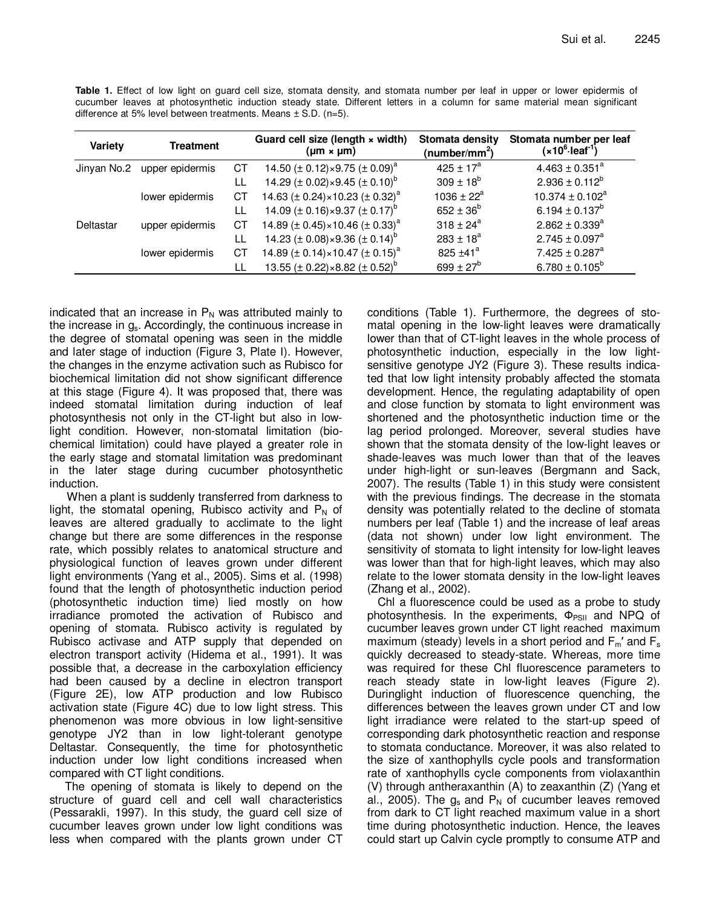$2.745 \pm 0.097$ <sup>a</sup>

 $7.425 \pm 0.287$ <sup>a</sup>

 $6.780 \pm 0.105^b$ 

| $\alpha$ and $\beta$ at 3% lever between treatments. Means $\pm$ 5.D. (n=3). |                  |    |                                                               |                                              |                                                                   |
|------------------------------------------------------------------------------|------------------|----|---------------------------------------------------------------|----------------------------------------------|-------------------------------------------------------------------|
| Variety                                                                      | <b>Treatment</b> |    | Guard cell size (length x width)<br>$(\mu m \times \mu m)$    | Stomata density<br>(number/mm <sup>2</sup> ) | Stomata number per leaf<br>(x10 <sup>6</sup> ·leaf <sup>1</sup> ) |
| Jinyan No.2                                                                  | upper epidermis  | CТ | 14.50 ( $\pm$ 0.12) × 9.75 ( $\pm$ 0.09) <sup>a</sup>         | $425 + 17^a$                                 | $4.463 \pm 0.351^a$                                               |
|                                                                              |                  | LL | 14.29 ( $\pm$ 0.02) × 9.45 ( $\pm$ 0.10) <sup>b</sup>         | $309 \pm 18^{6}$                             | $2.936 \pm 0.112^b$                                               |
|                                                                              | lower epidermis  | СT | 14.63 ( $\pm$ 0.24) $\times$ 10.23 ( $\pm$ 0.32) <sup>a</sup> | $1036 \pm 22^a$                              | $10.374 \pm 0.102^a$                                              |
|                                                                              |                  |    | 14.09 ( $\pm$ 0.16) × 9.37 ( $\pm$ 0.17) <sup>b</sup>         | $652 \pm 36^b$                               | 6.194 $\pm$ 0.137 <sup>b</sup>                                    |
| Deltastar                                                                    | upper epidermis  | СT | 14.89 ( $\pm$ 0.45) $\times$ 10.46 ( $\pm$ 0.33) <sup>a</sup> | $318 \pm 24^a$                               | $2.862 \pm 0.339^a$                                               |

LL 14.23  $(\pm 0.08) \times 9.36 (\pm 0.14)^{b}$ 

LL 13.55 ( $\pm$  0.22)×8.82 ( $\pm$  0.52)<sup>e</sup>

lower epidermis CT 14.89 ( $\pm$  0.14) $\times$ 10.47 ( $\pm$  0.15)<sup>a</sup>

**Table 1.** Effect of low light on guard cell size, stomata density, and stomata number per leaf in upper or lower epidermis of cucumber leaves at photosynthetic induction steady state. Different letters in a column for same material mean significant  $A$  treatments. Means  $\pm$  S.D. (n=5)

indicated that an increase in  $P_N$  was attributed mainly to the increase in gs. Accordingly, the continuous increase in the degree of stomatal opening was seen in the middle and later stage of induction (Figure 3, Plate І). However, the changes in the enzyme activation such as Rubisco for biochemical limitation did not show significant difference at this stage (Figure 4). It was proposed that, there was indeed stomatal limitation during induction of leaf photosynthesis not only in the CT-light but also in lowlight condition. However, non-stomatal limitation (biochemical limitation) could have played a greater role in the early stage and stomatal limitation was predominant in the later stage during cucumber photosynthetic induction.

When a plant is suddenly transferred from darkness to light, the stomatal opening, Rubisco activity and  $P_N$  of leaves are altered gradually to acclimate to the light change but there are some differences in the response rate, which possibly relates to anatomical structure and physiological function of leaves grown under different light environments (Yang et al., 2005). Sims et al. (1998) found that the length of photosynthetic induction period (photosynthetic induction time) lied mostly on how irradiance promoted the activation of Rubisco and opening of stomata. Rubisco activity is regulated by Rubisco activase and ATP supply that depended on electron transport activity (Hidema et al., 1991). It was possible that, a decrease in the carboxylation efficiency had been caused by a decline in electron transport (Figure 2E), low ATP production and low Rubisco activation state (Figure 4C) due to low light stress. This phenomenon was more obvious in low light-sensitive genotype JY2 than in low light-tolerant genotype Deltastar. Consequently, the time for photosynthetic induction under low light conditions increased when compared with CT light conditions.

The opening of stomata is likely to depend on the structure of guard cell and cell wall characteristics (Pessarakli, 1997). In this study, the guard cell size of cucumber leaves grown under low light conditions was less when compared with the plants grown under CT conditions (Table 1). Furthermore, the degrees of stomatal opening in the low-light leaves were dramatically lower than that of CT-light leaves in the whole process of photosynthetic induction, especially in the low lightsensitive genotype JY2 (Figure 3). These results indicated that low light intensity probably affected the stomata development. Hence, the regulating adaptability of open and close function by stomata to light environment was shortened and the photosynthetic induction time or the lag period prolonged. Moreover, several studies have shown that the stomata density of the low-light leaves or shade-leaves was much lower than that of the leaves under high-light or sun-leaves (Bergmann and Sack, 2007). The results (Table 1) in this study were consistent with the previous findings. The decrease in the stomata density was potentially related to the decline of stomata numbers per leaf (Table 1) and the increase of leaf areas (data not shown) under low light environment. The sensitivity of stomata to light intensity for low-light leaves was lower than that for high-light leaves, which may also relate to the lower stomata density in the low-light leaves (Zhang et al., 2002).

 $283 \pm 18^a$ 

825  $±41^a$ 

 $699 \pm 27^{b}$ 

Chl a fluorescence could be used as a probe to study photosynthesis. In the experiments,  $\Phi_{PSII}$  and NPQ of cucumber leaves grown under CT light reached maximum maximum (steady) levels in a short period and  $F_m'$  and  $F_s$ quickly decreased to steady-state. Whereas, more time was required for these Chl fluorescence parameters to reach steady state in low-light leaves (Figure 2). Duringlight induction of fluorescence quenching, the differences between the leaves grown under CT and low light irradiance were related to the start-up speed of corresponding dark photosynthetic reaction and response to stomata conductance. Moreover, it was also related to the size of xanthophylls cycle pools and transformation rate of xanthophylls cycle components from violaxanthin (V) through antheraxanthin (A) to zeaxanthin (Z) (Yang et al., 2005). The  $g_s$  and  $P_N$  of cucumber leaves removed from dark to CT light reached maximum value in a short time during photosynthetic induction. Hence, the leaves could start up Calvin cycle promptly to consume ATP and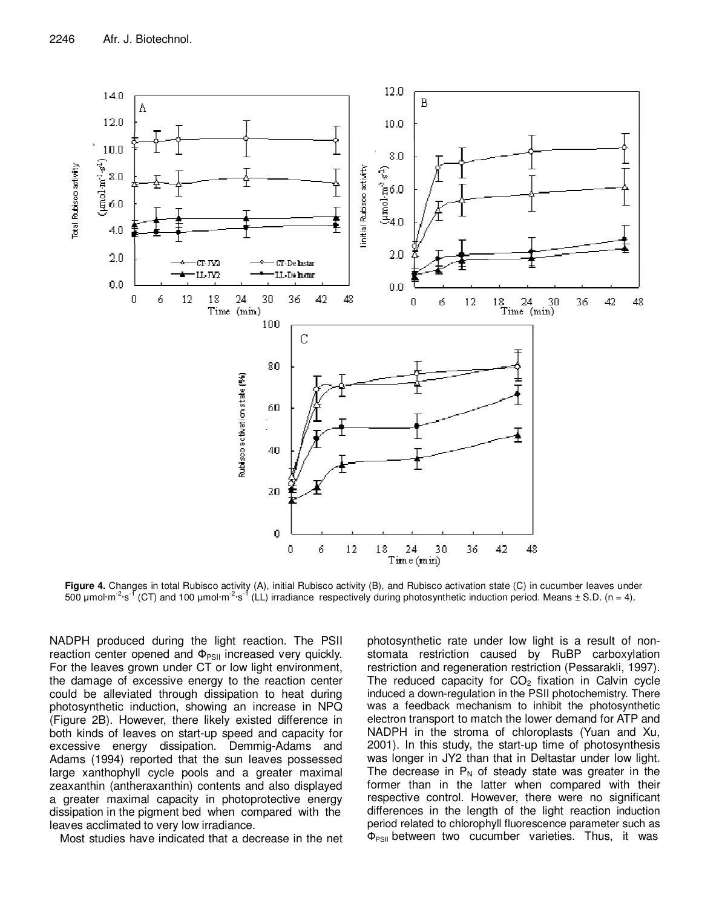

**Figure 4.** Changes in total Rubisco activity (A), initial Rubisco activity (B), and Rubisco activation state (C) in cucumber leaves under 500 µmol·m<sup>-2</sup>·s<sup>-1</sup> (CT) and 100 µmol·m<sup>-2</sup>·s<sup>-1</sup> (LL) irradiance respectively during photosynthetic induction period. Means  $\pm$  S.D. (n = 4).

NADPH produced during the light reaction. The PSII reaction center opened and  $\Phi_{PSII}$  increased very quickly. For the leaves grown under CT or low light environment, the damage of excessive energy to the reaction center could be alleviated through dissipation to heat during photosynthetic induction, showing an increase in NPQ (Figure 2B). However, there likely existed difference in both kinds of leaves on start-up speed and capacity for excessive energy dissipation. Demmig-Adams and Adams (1994) reported that the sun leaves possessed large xanthophyll cycle pools and a greater maximal zeaxanthin (antheraxanthin) contents and also displayed a greater maximal capacity in photoprotective energy dissipation in the pigment bed when compared with the leaves acclimated to very low irradiance.

Most studies have indicated that a decrease in the net

photosynthetic rate under low light is a result of nonstomata restriction caused by RuBP carboxylation restriction and regeneration restriction (Pessarakli, 1997). The reduced capacity for  $CO<sub>2</sub>$  fixation in Calvin cycle induced a down-regulation in the PSII photochemistry. There was a feedback mechanism to inhibit the photosynthetic electron transport to match the lower demand for ATP and NADPH in the stroma of chloroplasts (Yuan and Xu, 2001). In this study, the start-up time of photosynthesis was longer in JY2 than that in Deltastar under low light. The decrease in  $P_N$  of steady state was greater in the former than in the latter when compared with their respective control. However, there were no significant differences in the length of the light reaction induction period related to chlorophyll fluorescence parameter such as  $\Phi_{PSII}$  between two cucumber varieties. Thus, it was